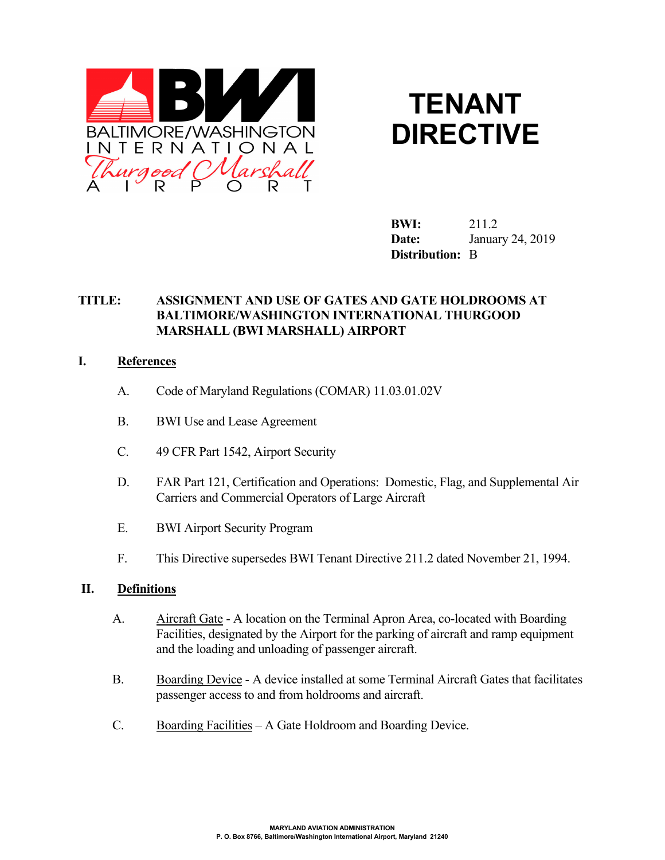



**BWI:** 211.2 **Date:** January 24, 2019 **Distribution:** B

# **TITLE: ASSIGNMENT AND USE OF GATES AND GATE HOLDROOMS AT BALTIMORE/WASHINGTON INTERNATIONAL THURGOOD MARSHALL (BWI MARSHALL) AIRPORT**

#### **I. References**

- A. Code of Maryland Regulations (COMAR) 11.03.01.02V
- B. BWI Use and Lease Agreement
- C. 49 CFR Part 1542, Airport Security
- D. FAR Part 121, Certification and Operations: Domestic, Flag, and Supplemental Air Carriers and Commercial Operators of Large Aircraft
- E. BWI Airport Security Program
- F. This Directive supersedes BWI Tenant Directive 211.2 dated November 21, 1994.

#### **II. Definitions**

- A. Aircraft Gate A location on the Terminal Apron Area, co-located with Boarding Facilities, designated by the Airport for the parking of aircraft and ramp equipment and the loading and unloading of passenger aircraft.
- B. Boarding Device A device installed at some Terminal Aircraft Gates that facilitates passenger access to and from holdrooms and aircraft.
- C. Boarding Facilities A Gate Holdroom and Boarding Device.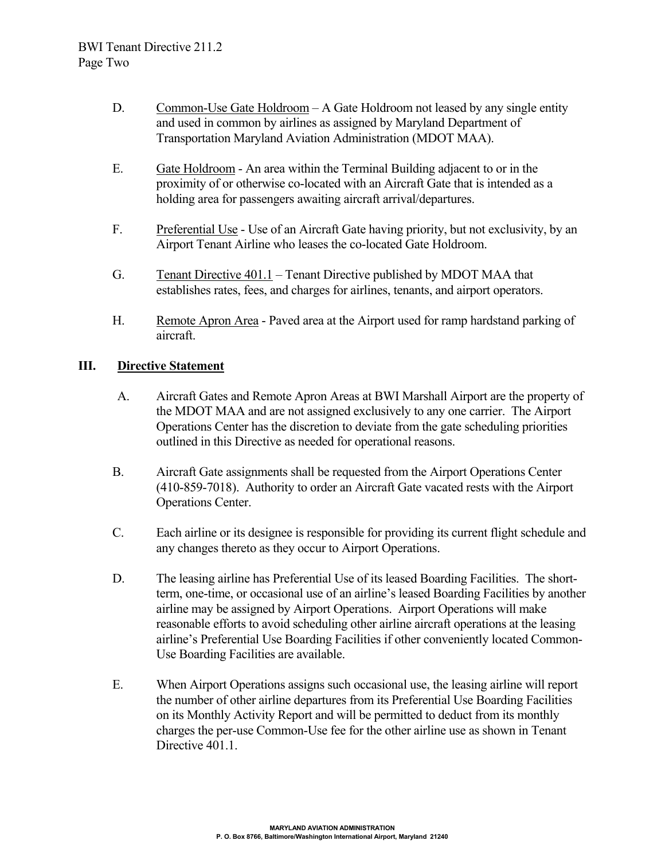- D. Common-Use Gate Holdroom A Gate Holdroom not leased by any single entity and used in common by airlines as assigned by Maryland Department of Transportation Maryland Aviation Administration (MDOT MAA).
- E. Gate Holdroom An area within the Terminal Building adjacent to or in the proximity of or otherwise co-located with an Aircraft Gate that is intended as a holding area for passengers awaiting aircraft arrival/departures.
- F. Preferential Use Use of an Aircraft Gate having priority, but not exclusivity, by an Airport Tenant Airline who leases the co-located Gate Holdroom.
- G. Tenant Directive 401.1 Tenant Directive published by MDOT MAA that establishes rates, fees, and charges for airlines, tenants, and airport operators.
- H. Remote Apron Area Paved area at the Airport used for ramp hardstand parking of aircraft.

# **III. Directive Statement**

- A. Aircraft Gates and Remote Apron Areas at BWI Marshall Airport are the property of the MDOT MAA and are not assigned exclusively to any one carrier. The Airport Operations Center has the discretion to deviate from the gate scheduling priorities outlined in this Directive as needed for operational reasons.
- B. Aircraft Gate assignments shall be requested from the Airport Operations Center (410-859-7018). Authority to order an Aircraft Gate vacated rests with the Airport Operations Center.
- C. Each airline or its designee is responsible for providing its current flight schedule and any changes thereto as they occur to Airport Operations.
- D. The leasing airline has Preferential Use of its leased Boarding Facilities. The shortterm, one-time, or occasional use of an airline's leased Boarding Facilities by another airline may be assigned by Airport Operations. Airport Operations will make reasonable efforts to avoid scheduling other airline aircraft operations at the leasing airline's Preferential Use Boarding Facilities if other conveniently located Common-Use Boarding Facilities are available.
- E. When Airport Operations assigns such occasional use, the leasing airline will report the number of other airline departures from its Preferential Use Boarding Facilities on its Monthly Activity Report and will be permitted to deduct from its monthly charges the per-use Common-Use fee for the other airline use as shown in Tenant Directive 401.1.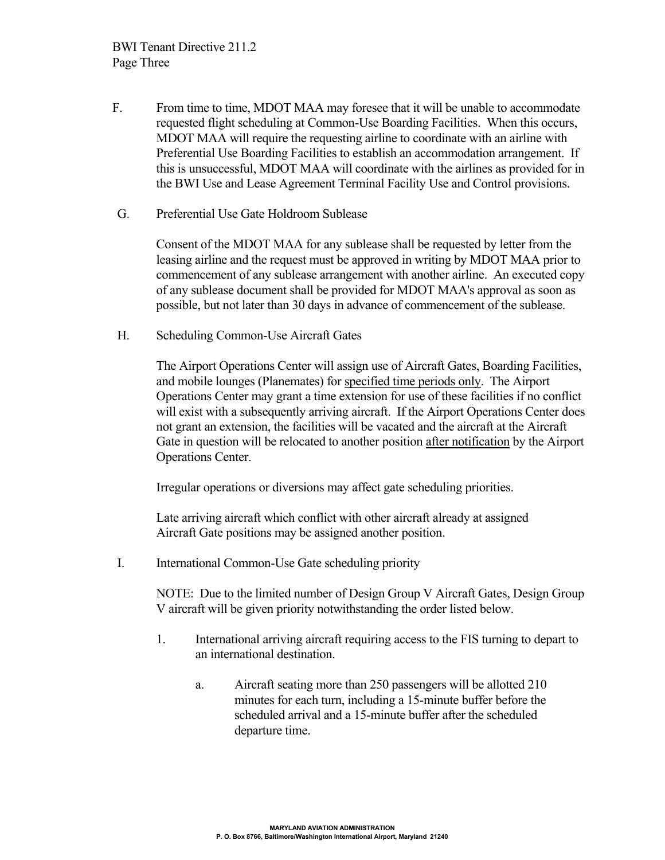- F. From time to time, MDOT MAA may foresee that it will be unable to accommodate requested flight scheduling at Common-Use Boarding Facilities. When this occurs, MDOT MAA will require the requesting airline to coordinate with an airline with Preferential Use Boarding Facilities to establish an accommodation arrangement. If this is unsuccessful, MDOT MAA will coordinate with the airlines as provided for in the BWI Use and Lease Agreement Terminal Facility Use and Control provisions.
- G. Preferential Use Gate Holdroom Sublease

Consent of the MDOT MAA for any sublease shall be requested by letter from the leasing airline and the request must be approved in writing by MDOT MAA prior to commencement of any sublease arrangement with another airline. An executed copy of any sublease document shall be provided for MDOT MAA's approval as soon as possible, but not later than 30 days in advance of commencement of the sublease.

H. Scheduling Common-Use Aircraft Gates

The Airport Operations Center will assign use of Aircraft Gates, Boarding Facilities, and mobile lounges (Planemates) for specified time periods only. The Airport Operations Center may grant a time extension for use of these facilities if no conflict will exist with a subsequently arriving aircraft. If the Airport Operations Center does not grant an extension, the facilities will be vacated and the aircraft at the Aircraft Gate in question will be relocated to another position after notification by the Airport Operations Center.

Irregular operations or diversions may affect gate scheduling priorities.

Late arriving aircraft which conflict with other aircraft already at assigned Aircraft Gate positions may be assigned another position.

I. International Common-Use Gate scheduling priority

NOTE: Due to the limited number of Design Group V Aircraft Gates, Design Group V aircraft will be given priority notwithstanding the order listed below.

- 1. International arriving aircraft requiring access to the FIS turning to depart to an international destination.
	- a. Aircraft seating more than 250 passengers will be allotted 210 minutes for each turn, including a 15-minute buffer before the scheduled arrival and a 15-minute buffer after the scheduled departure time.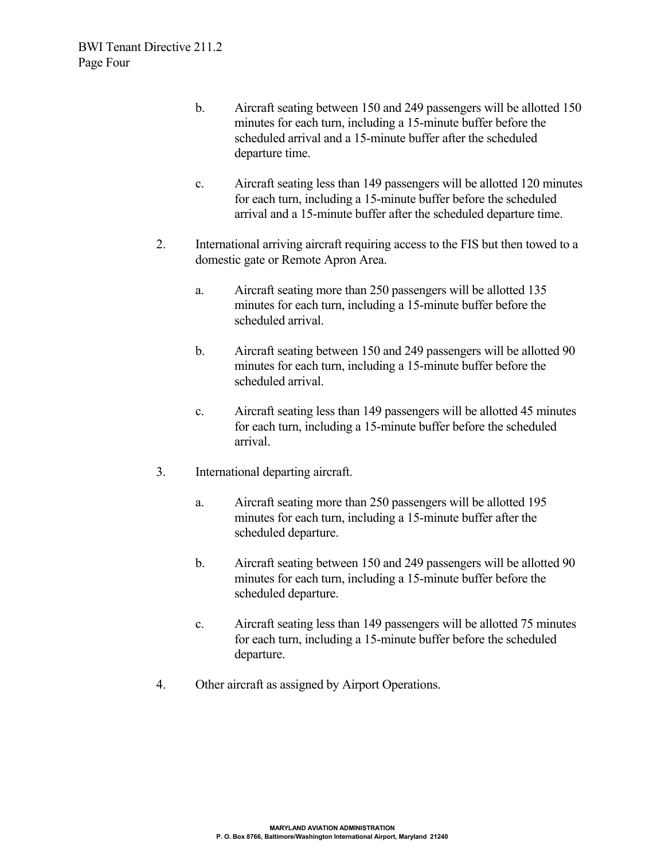- b. Aircraft seating between 150 and 249 passengers will be allotted 150 minutes for each turn, including a 15-minute buffer before the scheduled arrival and a 15-minute buffer after the scheduled departure time.
- c. Aircraft seating less than 149 passengers will be allotted 120 minutes for each turn, including a 15-minute buffer before the scheduled arrival and a 15-minute buffer after the scheduled departure time.
- 2. International arriving aircraft requiring access to the FIS but then towed to a domestic gate or Remote Apron Area.
	- a. Aircraft seating more than 250 passengers will be allotted 135 minutes for each turn, including a 15-minute buffer before the scheduled arrival.
	- b. Aircraft seating between 150 and 249 passengers will be allotted 90 minutes for each turn, including a 15-minute buffer before the scheduled arrival.
	- c. Aircraft seating less than 149 passengers will be allotted 45 minutes for each turn, including a 15-minute buffer before the scheduled arrival.
- 3. International departing aircraft.
	- a. Aircraft seating more than 250 passengers will be allotted 195 minutes for each turn, including a 15-minute buffer after the scheduled departure.
	- b. Aircraft seating between 150 and 249 passengers will be allotted 90 minutes for each turn, including a 15-minute buffer before the scheduled departure.
	- c. Aircraft seating less than 149 passengers will be allotted 75 minutes for each turn, including a 15-minute buffer before the scheduled departure.
- 4. Other aircraft as assigned by Airport Operations.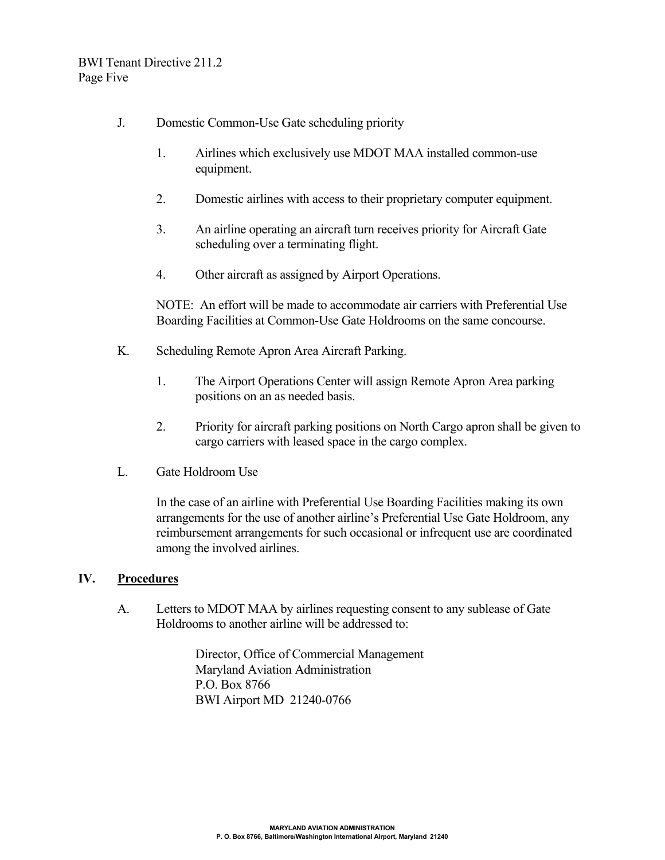- J. Domestic Common-Use Gate scheduling priority
	- 1. Airlines which exclusively use MDOT MAA installed common-use equipment.
	- 2. Domestic airlines with access to their proprietary computer equipment.
	- 3. An airline operating an aircraft turn receives priority for Aircraft Gate scheduling over a terminating flight.
	- 4. Other aircraft as assigned by Airport Operations.

NOTE: An effort will be made to accommodate air carriers with Preferential Use Boarding Facilities at Common-Use Gate Holdrooms on the same concourse.

- K. Scheduling Remote Apron Area Aircraft Parking.
	- 1. The Airport Operations Center will assign Remote Apron Area parking positions on an as needed basis.
	- 2. Priority for aircraft parking positions on North Cargo apron shall be given to cargo carriers with leased space in the cargo complex.
- L. Gate Holdroom Use

In the case of an airline with Preferential Use Boarding Facilities making its own arrangements for the use of another airline's Preferential Use Gate Holdroom, any reimbursement arrangements for such occasional or infrequent use are coordinated among the involved airlines.

#### **IV. Procedures**

A. Letters to MDOT MAA by airlines requesting consent to any sublease of Gate Holdrooms to another airline will be addressed to:

> Director, Office of Commercial Management Maryland Aviation Administration P.O. Box 8766 BWI Airport MD 21240-0766